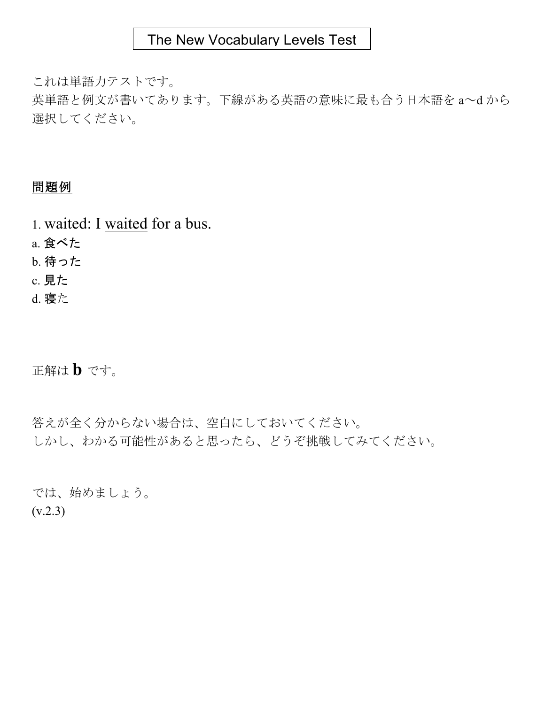これは単語力テストです。

英単語と例文が書いてあります。下線がある英語の意味に最も合う日本語を a~d から 選択してください。

# 問題例

1. waited: I waited for a bus.

a. 食べた

b. 待った

c. 見た

d. 寝た

正解は **b** です。

答えが全く分からない場合は、空白にしておいてください。 しかし、わかる可能性があると思ったら、どうぞ挑戦してみてください。

では、始めましょう。  $(v.2.3)$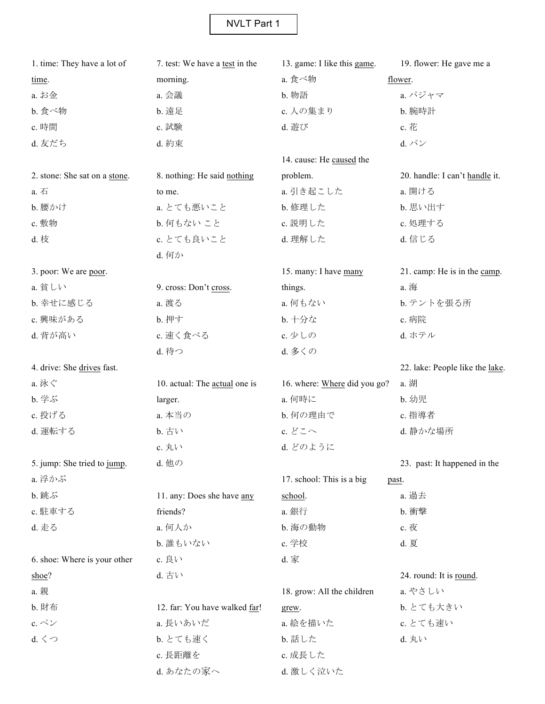| 1. time: They have a lot of   | 7. test: We have a test in the | 13. game: I like this game.  | 19. flower: He gave me a        |
|-------------------------------|--------------------------------|------------------------------|---------------------------------|
| time.                         | morning.                       | a. 食べ物                       | flower.                         |
| a. お金                         | a. 会議                          | b. 物語                        | a. パジャマ                         |
| b. 食べ物                        | b. 遠足                          | c. 人の集まり                     | b. 腕時計                          |
| c. 時間                         | c. 試験                          | d. 遊び                        | c. 花                            |
| d. 友だち                        | d. 約束                          |                              | $d. \n\mathcal{N}$              |
|                               |                                | 14. cause: He caused the     |                                 |
| 2. stone: She sat on a stone. | 8. nothing: He said nothing    | problem.                     | 20. handle: I can't handle it.  |
| a. 石                          | to me.                         | a. 引き起こした                    | a. 開ける                          |
| b. 腰かけ                        | a. とても悪いこと                     | b. 修理した                      | b. 思い出す                         |
| c. 敷物                         | b. 何もないこと                      | c. 説明した                      | c. 処理する                         |
| d. 枝                          | c. とても良いこと                     | d. 理解した                      | d. 信じる                          |
|                               | d. 何か                          |                              |                                 |
| 3. poor: We are poor.         |                                | 15. many: I have many        | 21. camp: He is in the camp.    |
| a. 貧しい                        | 9. cross: Don't cross.         | things.                      | a. 海                            |
| b. 幸せに感じる                     | a. 渡る                          | a. 何もない                      | b. テントを張る所                      |
| c. 興味がある                      | <b>b. 押す</b>                   | b. 十分な                       | c. 病院                           |
| d. 背が高い                       | c. 速く食べる                       | c. 少しの                       | d. ホテル                          |
|                               | d. 待つ                          | d. 多くの                       |                                 |
| 4. drive: She drives fast.    |                                |                              | 22. lake: People like the lake. |
| a. 泳ぐ                         | 10. actual: The actual one is  | 16. where: Where did you go? | a. 湖                            |
| <b>b. 学ぶ</b>                  | larger.                        | a. 何時に                       | b. 幼児                           |
| c. 投げる                        | a. 本当の                         | b. 何の理由で                     | c. 指導者                          |
| d. 運転する                       | b. 古い                          | c. どこへ                       | d. 静かな場所                        |
|                               | c. 丸い                          | d. どのように                     |                                 |
| 5. jump: She tried to jump.   | d. 他の                          |                              | 23. past: It happened in the    |
| a. 浮かぶ                        |                                | 17. school: This is a big    | past.                           |
| <b>b. 跳ぶ</b>                  | 11. any: Does she have any     | school.                      | a. 過去                           |
| c. 駐車する                       | friends?                       | a. 銀行                        | b. 衝擊                           |
| d. 走る                         | a. 何人か                         | b. 海の動物                      | c. 夜                            |
|                               | b. 誰もいない                       | c. 学校                        | d. 夏                            |
| 6. shoe: Where is your other  | c. 良い                          | d. 家                         |                                 |
| shoe?                         | d. 古い                          |                              | 24. round: It is round.         |
| a. 親                          |                                | 18. grow: All the children   | a. やさしい                         |
| b. 財布                         | 12. far: You have walked far!  | grew.                        | b. とても大きい                       |
| c. $\stackrel{\circ}{\sim}\,$ | a. 長いあいだ                       | a. 絵を描いた                     | c. とても速い                        |
| d. < 0                        | b. とても速く                       | b. 話した                       | d. 丸い                           |
|                               | c. 長距離を                        | c. 成長した                      |                                 |
|                               | d. あなたの家へ                      | d. 激しく泣いた                    |                                 |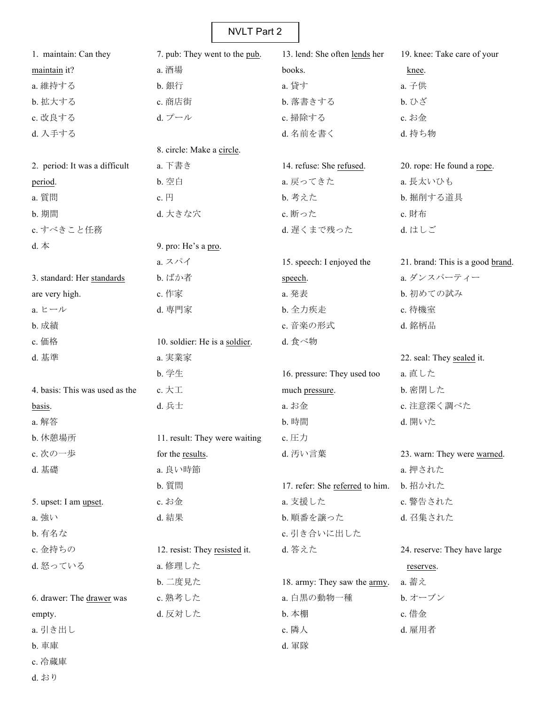| 1. maintain: Can they          | 7. pub: They went to the pub. | 13. lend: She often lends her        | 19. knee: Take care of your      |
|--------------------------------|-------------------------------|--------------------------------------|----------------------------------|
| maintain it?                   | a. 酒場                         | books.                               | knee.                            |
| a. 維持する                        | b. 銀行                         | a. 貸す                                | a. 子供                            |
| b. 拡大する                        | c. 商店街                        | b. 落書きする                             | b. ひざ                            |
| c. 改良する                        | d. プール                        | c. 掃除する                              | c. お金                            |
| d. 入手する                        |                               | d. 名前を書く                             | d. 持ち物                           |
|                                | 8. circle: Make a circle.     |                                      |                                  |
| 2. period: It was a difficult  | a. 下書き                        | 14. refuse: She refused.             | 20. rope: He found a rope.       |
| period.                        | b. 空白                         | a. 戻ってきた                             | a. 長太いひも                         |
| a. 質問                          | c. 円                          | b. 考えた                               | b. 掘削する道具                        |
| b. 期間                          | d. 大きな穴                       | c. 断った                               | c. 財布                            |
| c. すべきこと任務                     |                               | d. 遅くまで残った                           | d. はしご                           |
| $d.$ $\#$                      | 9. pro: He's a pro.           |                                      |                                  |
|                                | a. スパイ                        | 15. speech: I enjoyed the            | 21. brand: This is a good brand. |
| 3. standard: Her standards     | b. ばか者                        | speech.                              | a. ダンスパーティー                      |
| are very high.                 | c. 作家                         | a. 発表                                | b. 初めての試み                        |
| a. ヒール                         | d. 専門家                        | b. 全力疾走                              | c. 待機室                           |
| b. 成績                          |                               | c. 音楽の形式                             | d. 銘柄品                           |
| c. 価格                          | 10. soldier: He is a soldier. | d. 食べ物                               |                                  |
| d. 基準                          | a. 実業家                        |                                      | 22. seal: They sealed it.        |
|                                | b. 学生                         | 16. pressure: They used too          | a. 直した                           |
| 4. basis: This was used as the | c. $\not\pi \mathbb{I}$       | much pressure.                       | b. 密閉した                          |
| basis.                         | d. 兵士                         | a. お金                                | c. 注意深く調べた                       |
| a. 解答                          |                               | b. 時間                                | d. 開いた                           |
| b. 休憩場所                        | 11. result: They were waiting | c. 压力                                |                                  |
| c. 次の一歩                        | for the results.              | d. 汚い言葉                              | 23. warn: They were warned.      |
| d. 基礎                          | a. 良い時節                       |                                      | a. 押された                          |
|                                | b. 質問                         | 17. refer: She referred to him.      | b. 招かれた                          |
| 5. upset: I am upset.          | c. お金                         | a. 支援した                              | c. 警告された                         |
| a. 強い                          | d. 結果                         | b. 順番を譲った                            | d. 召集された                         |
| b. 有名な                         |                               | c. 引き合いに出した                          |                                  |
| c. 金持ちの                        | 12. resist: They resisted it. | d. 答えた                               | 24. reserve: They have large     |
| d. 怒っている                       | a. 修理した                       |                                      | reserves.                        |
|                                | b. 二度見た                       | 18. army: They saw the <u>army</u> . | a. 蓄え                            |
| 6. drawer: The drawer was      | c. 熟考した                       | a. 白黒の動物一種                           | b. オーブン                          |
| empty.                         | d. 反対した                       | b. 本棚                                | c. 借金                            |
| a. 引き出し                        |                               | c. 隣人                                | d. 雇用者                           |
| b. 車庫                          |                               | d. 軍隊                                |                                  |
| c. 冷蔵庫                         |                               |                                      |                                  |

d. おり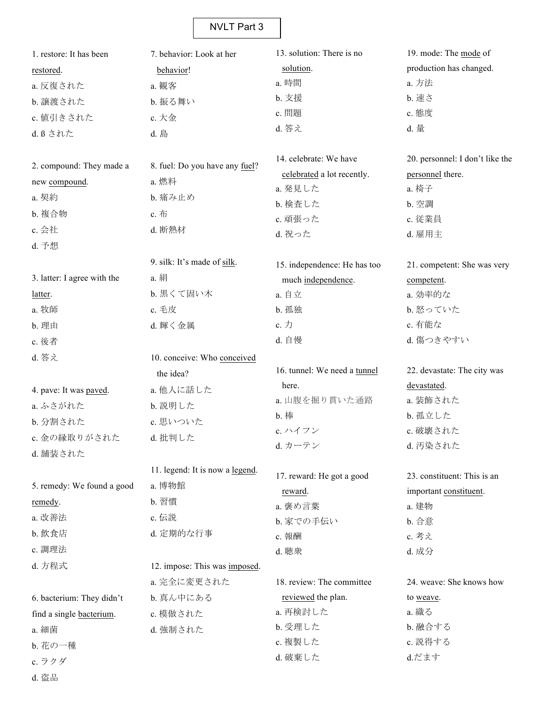| 1. restore: It has been     | 7. behavior: Look at her        | 13. solution: There is no    | 19. mode: The mode of           |
|-----------------------------|---------------------------------|------------------------------|---------------------------------|
| restored.                   | behavior!                       | solution.                    | production has changed.         |
| a. 反復された                    | a. 観客                           | a. 時間                        | a. 方法                           |
| b. 譲渡された                    | b. 振る舞い                         | b. 支援                        | <b>b.</b> 速さ                    |
| c. 値引きされた                   | c. 大金                           | c. 問題                        | c. 態度                           |
| d. ß された                    | d. 島                            | d. 答え                        | d. 量                            |
|                             |                                 |                              |                                 |
| 2. compound: They made a    | 8. fuel: Do you have any fuel?  | 14. celebrate: We have       | 20. personnel: I don't like the |
| new compound.               | a. 燃料                           | celebrated a lot recently.   | personnel there.                |
| a. 契約                       | b. 痛み止め                         | a. 発見した                      | a. 椅子                           |
| b. 複合物                      | c. 布                            | b. 検査した                      | b. 空調                           |
| c. 会社                       | d. 断熱材                          | c. 頑張った                      | c. 従業員                          |
| d. 予想                       |                                 | d. 祝った                       | d. 雇用主                          |
|                             | 9. silk: It's made of silk.     |                              |                                 |
| 3. latter: I agree with the | a. 絹                            | 15. independence: He has too | 21. competent: She was very     |
|                             |                                 | much independence.           | competent.                      |
| latter.                     | b. 黒くて固い木                       | a. 自立                        | a. 効率的な                         |
| a. 牧師                       | c. 毛皮                           | b. 孤独                        | b. 怒っていた                        |
| b. 理由                       | d. 輝く金属                         | c. 力                         | c. 有能な                          |
| c. 後者                       |                                 | d. 自慢                        | d. 傷つきやすい                       |
| d. 答え                       | 10. conceive: Who conceived     | 16. tunnel: We need a tunnel | 22. devastate: The city was     |
|                             | the idea?                       | here.                        | devastated.                     |
| 4. pave: It was paved.      | a. 他人に話した                       | a. 山腹を掘り貫いた通路                | a. 装飾された                        |
| a. ふさがれた                    | b. 説明した                         | <b>b</b> . 棒                 | b. 孤立した                         |
| b. 分割された                    | c. 思いついた                        | c. ハイフン                      | c. 破壊された                        |
| c. 金の縁取りがされた                | d. 批判した                         | d. カーテン                      | d. 汚染された                        |
| d. 舗装された                    |                                 |                              |                                 |
|                             | 11. legend: It is now a legend. | 17. reward: He got a good    | 23. constituent: This is an     |
| 5. remedy: We found a good  | a. 博物館                          | reward.                      | important constituent.          |
| remedy.                     | b. 習慣                           | a. 褒め言葉                      | a. 建物                           |
| a. 改善法                      | c. 伝説                           | b. 家での手伝い                    | b. 合意                           |
| b. 飲食店                      | d. 定期的な行事                       | c. 報酬                        | c. 考え                           |
| c. 調理法                      |                                 | d. 聴衆                        | d. 成分                           |
| d. 方程式                      | 12. impose: This was imposed.   |                              |                                 |
|                             | a. 完全に変更された                     | 18. review: The committee    | 24. weave: She knows how        |
| 6. bacterium: They didn't   | b. 真ん中にある                       | reviewed the plan.           | to weave.                       |
| find a single bacterium.    | c. 模倣された                        | a. 再検討した                     | a. 織る                           |
| a. 細菌                       | d. 強制された                        | b. 受理した                      | b. 融合する                         |
| b. 花の一種                     |                                 | c. 複製した                      | c. 説得する                         |
| c. ラクダ                      |                                 | d. 破棄した                      | d.だます                           |
|                             |                                 |                              |                                 |

d. 盗品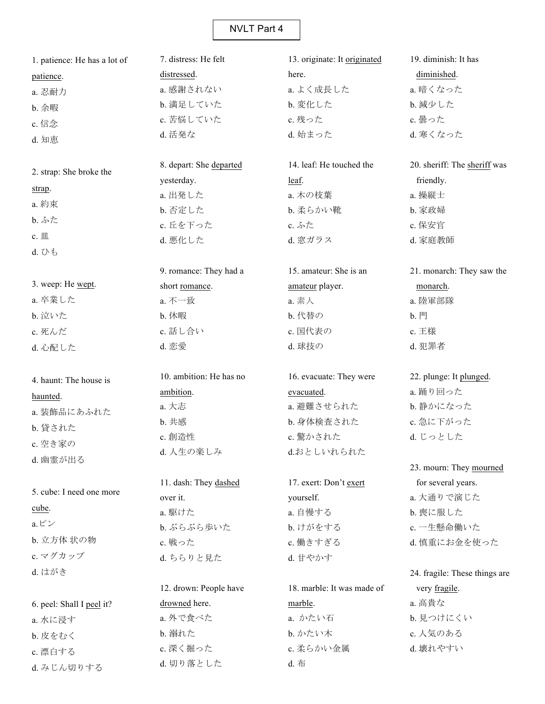| 1. patience: He has a lot of | 7. distress: He felt    | 13. originate: It originated | 19. diminish: It has          |
|------------------------------|-------------------------|------------------------------|-------------------------------|
| patience.                    | distressed.             | here.                        | diminished.                   |
| a. 忍耐力                       | a. 感謝されない               | a. よく成長した                    | a. 暗くなった                      |
| b. 余暇                        | b. 満足していた               | b. 変化した                      | b. 減少した                       |
| c. 信念                        | c. 苦悩していた               | c. 残った                       | c. 曇った                        |
| d. 知恵                        | d. 活発な                  | d. 始まった                      | d. 寒くなった                      |
|                              | 8. depart: She departed | 14. leaf: He touched the     | 20. sheriff: The sheriff was  |
| 2. strap: She broke the      | yesterday.              | leaf.                        | friendly.                     |
| strap.                       | a. 出発した                 | a. 木の枝葉                      | a. 操縦士                        |
| a. 約束                        | b. 否定した                 | b. 柔らかい靴                     | b. 家政婦                        |
| b. ふた                        | c. 丘を下った                | c. ふた                        | c. 保安官                        |
| c. $\mathbbm{m}$             | d. 悪化した                 | d. 窓ガラス                      | d. 家庭教師                       |
| d. U b                       |                         |                              |                               |
|                              | 9. romance: They had a  | 15. amateur: She is an       | 21. monarch: They saw the     |
| 3. weep: He wept.            | short romance.          | amateur player.              | monarch.                      |
| a. 卒業した                      | a. 不一致                  | a. 素人                        | a. 陸軍部隊                       |
| b. 泣いた                       | b. 休暇                   | b. 代替の                       | <b>b. 門</b>                   |
| c. 死んだ                       | c. 話し合い                 | c. 国代表の                      | c. 王様                         |
| d. 心配した                      | d. 恋愛                   | d. 球技の                       | d. 犯罪者                        |
| 4. haunt: The house is       | 10. ambition: He has no | 16. evacuate: They were      | 22. plunge: It plunged.       |
| haunted.                     | ambition.               | evacuated.                   | a. 踊り回った                      |
| a. 装飾品にあふれた                  | a. 大志                   | a. 避難させられた                   | b. 静かになった                     |
| b. 貸された                      | b. 共感                   | b. 身体検査された                   | c. 急に下がった                     |
|                              | c. 創造性                  | c. 驚かされた                     | d. じっとした                      |
| c. 空き家の                      | d. 人生の楽しみ               | d.おとしいれられた                   |                               |
| d. 幽霊が出る                     |                         |                              | 23. mourn: They mourned       |
|                              | 11. dash: They dashed   | 17. exert: Don't exert       | for several years.            |
| 5. cube: I need one more     | over it.                | yourself.                    | a. 大通りで演じた                    |
| cube.                        | a. 駆けた                  | a. 自慢する                      | b. 喪に服した                      |
| $a E^{\circ}$                | b. ぶらぶら歩いた              | b. けがをする                     | c. 一生懸命働いた                    |
| b. 立方体 状の物                   | c. 戦った                  | c. 働きすぎる                     | d. 慎重にお金を使った                  |
| c. マグカップ                     | d. ちらりと見た               | d. 甘やかす                      |                               |
| d. はがき                       |                         |                              | 24. fragile: These things are |
|                              | 12. drown: People have  | 18. marble: It was made of   | very fragile.                 |
| 6. peel: Shall I peel it?    | drowned here.           | marble.                      | a. 高貴な                        |
| a. 水に浸す                      | a. 外で食べた                | a. かたい石                      | b. 見つけにくい                     |
| b. 皮をむく                      | <b>b. 溺れた</b>           | b. かたい木                      | c. 人気のある                      |
| c. 漂白する                      | c. 深く掘った                | c. 柔らかい金属                    | d. 壊れやすい                      |

d. 布

d. みじん切りする

d. 切り落とした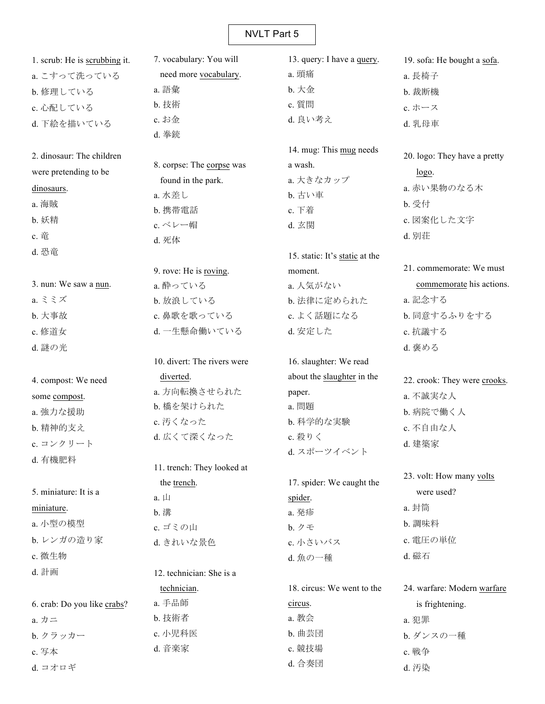| 1. scrub: He is scrubbing it. | 7. vocabulary: You will     | 13. query: I have a <u>query</u> . | 19. sofa: He bought a sofa.  |
|-------------------------------|-----------------------------|------------------------------------|------------------------------|
| a. こすって洗っている                  | need more vocabulary.       | a. 頭痛                              | a. 長椅子                       |
| b. 修理している                     | a. 語彙                       | b. 大金                              | b. 裁断機                       |
| c. 心配している                     | b. 技術                       | c. 質問                              | c. ホース                       |
| d. 下絵を描いている                   | c. お金                       | d. 良い考え                            | d. 乳母車                       |
|                               | d. 拳銃                       |                                    |                              |
| 2. dinosaur: The children     |                             | 14. mug: This mug needs            | 20. logo: They have a pretty |
| were pretending to be         | 8. corpse: The corpse was   | a wash.                            | logo.                        |
| dinosaurs.                    | found in the park.          | a. 大きなカップ                          | a. 赤い果物のなる木                  |
| a. 海賊                         | a. 水差し                      | b. 古い車                             | b. 受付                        |
| b. 妖精                         | b. 携帯電話                     | c. 下着                              | c. 図案化した文字                   |
|                               | c.ベレー帽                      | d. 玄関                              |                              |
| c. 竜                          | d. 死体                       |                                    | d. 別荘                        |
| d. 恐竜                         |                             | 15. static: It's static at the     |                              |
|                               | 9. rove: He is roving.      | moment.                            | 21. commemorate: We must     |
| 3. nun: We saw a nun.         | a. 酔っている                    | a. 人気がない                           | commemorate his actions.     |
| a. ミミズ                        | b. 放浪している                   | b. 法律に定められた                        | a. 記念する                      |
| b. 大事故                        | c. 鼻歌を歌っている                 | c. よく話題になる                         | b. 同意するふりをする                 |
| c. 修道女                        | d. 一生懸命働いている                | d. 安定した                            | c. 抗議する                      |
| d. 謎の光                        |                             |                                    | d. 褒める                       |
|                               | 10. divert: The rivers were | 16. slaughter: We read             |                              |
| 4. compost: We need           | diverted.                   | about the slaughter in the         | 22. crook: They were crooks. |
| some compost.                 | a. 方向転換させられた                | paper.                             | a. 不誠実な人                     |
| a. 強力な援助                      | b. 橋を架けられた                  | a. 問題                              | b. 病院で働く人                    |
| b. 精神的支え                      | c. 汚くなった                    | b. 科学的な実験                          | c. 不自由な人                     |
| c. コンクリート                     | d. 広くて深くなった                 | c. 殺りく                             | d. 建築家                       |
| d. 有機肥料                       |                             | d. スポーツイベント                        |                              |
|                               | 11. trench: They looked at  |                                    | 23. volt: How many volts     |
| 5. miniature: It is a         | the trench.                 | 17. spider: We caught the          | were used?                   |
|                               | $a. \Box$                   | spider.                            |                              |
| miniature.                    | b. 溝                        | a. 発疹                              | a. 封筒                        |
| a. 小型の模型                      | c. ゴミの山                     | b. クモ                              | b. 調味料                       |
| b. レンガの造り家                    | d. きれいな景色                   | c. 小さいバス                           | c. 電圧の単位                     |
| c. 微生物                        |                             | d. 魚の一種                            | d. 磁石                        |
| d. 計画                         | 12. technician: She is a    |                                    |                              |
|                               | technician.                 | 18. circus: We went to the         | 24. warfare: Modern warfare  |
| 6. crab: Do you like crabs?   | a. 手品師                      | circus.                            | is frightening.              |
| a. カニ                         | b. 技術者                      | a. 教会                              | a. 犯罪                        |
| b. クラッカー                      | c. 小児科医                     | b. 曲芸団                             | b. ダンスの一種                    |
| c. 写本                         | d. 音楽家                      | c. 競技場                             | c. 戦争                        |
| d. コオロギ                       |                             | d. 合奏団                             | d. 汚染                        |